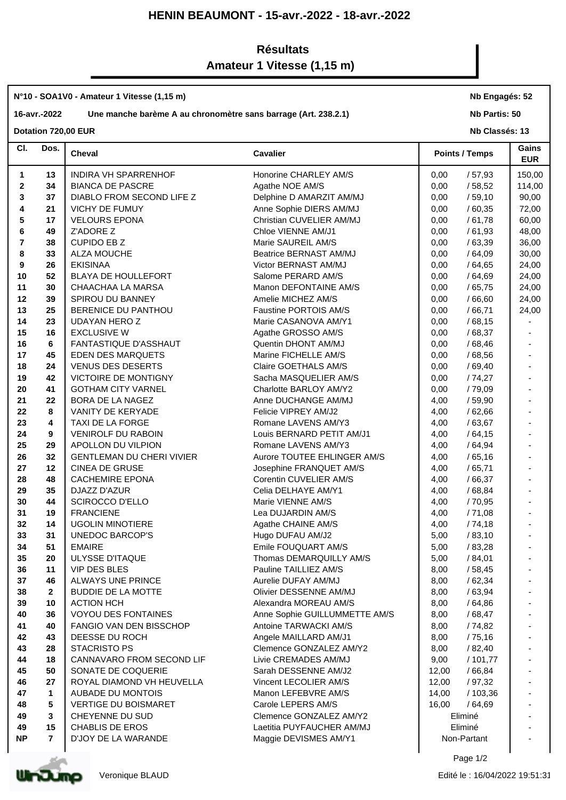## **HENIN BEAUMONT - 15-avr.-2022 - 18-avr.-2022**

## **Résultats Amateur 1 Vitesse (1,15 m)**

## **N°10 - SOA1V0 - Amateur 1 Vitesse (1,15 m)**

## **16-avr.-2022 Une manche barème A au chronomètre sans barrage (Art. 238.2.1)**

**Nb Engagés: 52**

**Nb Partis: 50**

**Dotation 720,00 EUR** 

| CI.         | Dos.           | Cheval                           | <b>Cavalier</b>               | <b>Points / Temps</b> | Gains<br><b>EUR</b> |
|-------------|----------------|----------------------------------|-------------------------------|-----------------------|---------------------|
| 1           | 13             | INDIRA VH SPARRENHOF             | Honorine CHARLEY AM/S         | 0,00<br>/57,93        | 150,00              |
| $\mathbf 2$ | 34             | <b>BIANCA DE PASCRE</b>          | Agathe NOE AM/S               | 0,00<br>/58,52        | 114,00              |
| 3           | 37             | DIABLO FROM SECOND LIFE Z        | Delphine D AMARZIT AM/MJ      | 0,00<br>/59,10        | 90,00               |
| 4           | 21             | VICHY DE FUMUY                   | Anne Sophie DIERS AM/MJ       | 0,00<br>/60,35        | 72,00               |
| 5           | 17             | <b>VELOURS EPONA</b>             | Christian CUVELIER AM/MJ      | 0,00<br>/61,78        | 60,00               |
| 6           | 49             | Z'ADORE Z                        | Chloe VIENNE AM/J1            | 0,00<br>/61,93        | 48,00               |
| 7           | 38             | <b>CUPIDO EB Z</b>               | Marie SAUREIL AM/S            | 0,00<br>/63,39        | 36,00               |
| 8           | 33             | <b>ALZA MOUCHE</b>               | Beatrice BERNAST AM/MJ        | 0,00<br>/64,09        | 30,00               |
| 9           | 26             | <b>EKISINAA</b>                  | Victor BERNAST AM/MJ          | 0,00<br>/64,65        | 24,00               |
| 10          | 52             | BLAYA DE HOULLEFORT              | Salome PERARD AM/S            | /64,69<br>0,00        | 24,00               |
| 11          | 30             | CHAACHAA LA MARSA                | Manon DEFONTAINE AM/S         | /65,75<br>0,00        | 24,00               |
| 12          | 39             | SPIROU DU BANNEY                 | Amelie MICHEZ AM/S            | 0,00<br>/66,60        | 24,00               |
| 13          | 25             | BERENICE DU PANTHOU              | Faustine PORTOIS AM/S         | 0,00<br>/66,71        | 24,00               |
| 14          | 23             | UDAYAN HERO Z                    | Marie CASANOVA AM/Y1          | 0,00<br>/68,15        |                     |
| 15          | 16             | <b>EXCLUSIVE W</b>               | Agathe GROSSO AM/S            | 0,00<br>/68,37        |                     |
| 16          | 6              | FANTASTIQUE D'ASSHAUT            | Quentin DHONT AM/MJ           | 0,00<br>/68,46        |                     |
| 17          | 45             | EDEN DES MARQUETS                | Marine FICHELLE AM/S          | 0,00<br>/68,56        |                     |
| 18          | 24             | <b>VENUS DES DESERTS</b>         | Claire GOETHALS AM/S          | 0,00<br>/69,40        |                     |
| 19          | 42             | VICTOIRE DE MONTIGNY             | Sacha MASQUELIER AM/S         | 0,00<br>/74,27        |                     |
| 20          | 41             | <b>GOTHAM CITY VARNEL</b>        | Charlotte BARLOY AM/Y2        | /79,09<br>0,00        |                     |
| 21          | 22             | BORA DE LA NAGEZ                 | Anne DUCHANGE AM/MJ           | 4,00<br>/59,90        |                     |
| 22          | 8              | VANITY DE KERYADE                | Felicie VIPREY AM/J2          | 4,00<br>/62,66        |                     |
| 23          | 4              | TAXI DE LA FORGE                 | Romane LAVENS AM/Y3           | /63,67<br>4,00        |                     |
| 24          | 9              | <b>VENIROLF DU RABOIN</b>        | Louis BERNARD PETIT AM/J1     | /64,15<br>4,00        |                     |
| 25          | 29             | APOLLON DU VILPION               | Romane LAVENS AM/Y3           | /64,94<br>4,00        |                     |
| 26          | 32             | <b>GENTLEMAN DU CHERI VIVIER</b> | Aurore TOUTEE EHLINGER AM/S   | /65,16<br>4,00        |                     |
| 27          | 12             | <b>CINEA DE GRUSE</b>            | Josephine FRANQUET AM/S       | 4,00<br>/65,71        |                     |
| 28          | 48             | <b>CACHEMIRE EPONA</b>           | Corentin CUVELIER AM/S        | /66,37<br>4,00        |                     |
| 29          | 35             | DJAZZ D'AZUR                     | Celia DELHAYE AM/Y1           | /68,84<br>4,00        |                     |
| 30          | 44             | <b>SCIROCCO D'ELLO</b>           | Marie VIENNE AM/S             | / 70,95<br>4,00       |                     |
| 31          | 19             | <b>FRANCIENE</b>                 | Lea DUJARDIN AM/S             | /71,08<br>4,00        |                     |
| 32          | 14             | <b>UGOLIN MINOTIERE</b>          | Agathe CHAINE AM/S            | /74,18<br>4,00        |                     |
| 33          | 31             | UNEDOC BARCOP'S                  | Hugo DUFAU AM/J2              | / 83,10<br>5,00       |                     |
| 34          | 51             | <b>EMAIRE</b>                    | Emile FOUQUART AM/S           | 5,00<br>/ 83,28       |                     |
| 35          | 20             | <b>ULYSSE D'ITAQUE</b>           | Thomas DEMARQUILLY AM/S       | 5,00<br>/ 84,01       |                     |
| 36          | 11             | <b>VIP DES BLES</b>              | Pauline TAILLIEZ AM/S         | 8,00<br>/58,45        |                     |
| 37          | 46             | ALWAYS UNE PRINCE                | Aurelie DUFAY AM/MJ           | 8,00<br>/62,34        |                     |
| 38          | $\mathbf{2}$   | <b>BUDDIE DE LA MOTTE</b>        | Olivier DESSENNE AM/MJ        | /63,94<br>8,00        |                     |
| 39          | 10             | <b>ACTION HCH</b>                | Alexandra MOREAU AM/S         | 8,00<br>/ 64,86       |                     |
| 40          | 36             | <b>VOYOU DES FONTAINES</b>       | Anne Sophie GUILLUMMETTE AM/S | 8,00<br>/ 68,47       |                     |
| 41          | 40             | <b>FANGIO VAN DEN BISSCHOP</b>   | Antoine TARWACKI AM/S         | 8,00<br>/ 74,82       |                     |
| 42          | 43             | DEESSE DU ROCH                   | Angele MAILLARD AM/J1         | 8,00<br>/75,16        |                     |
| 43          | 28             | <b>STACRISTO PS</b>              | Clemence GONZALEZ AM/Y2       | 8,00<br>/ 82,40       |                     |
| 44          | 18             | CANNAVARO FROM SECOND LIF        | Livie CREMADES AM/MJ          | 9,00<br>/101,77       |                     |
| 45          | 50             | SONATE DE COQUERIE               | Sarah DESSENNE AM/J2          | 12,00<br>/ 66,84      |                     |
| 46          | 27             | ROYAL DIAMOND VH HEUVELLA        | Vincent LECOLIER AM/S         | 12,00<br>/ 97,32      |                     |
| 47          | 1              | AUBADE DU MONTOIS                | Manon LEFEBVRE AM/S           | 14,00<br>/ 103,36     |                     |
| 48          | 5              | <b>VERTIGE DU BOISMARET</b>      | Carole LEPERS AM/S            | 16,00<br>/64,69       |                     |
| 49          | 3              | CHEYENNE DU SUD                  | Clemence GONZALEZ AM/Y2       | Eliminé               |                     |
| 49          | 15             | <b>CHABLIS DE EROS</b>           | Laetitia PUYFAUCHER AM/MJ     | Eliminé               |                     |
| <b>NP</b>   | $\overline{7}$ | D'JOY DE LA WARANDE              | Maggie DEVISMES AM/Y1         | Non-Partant           |                     |